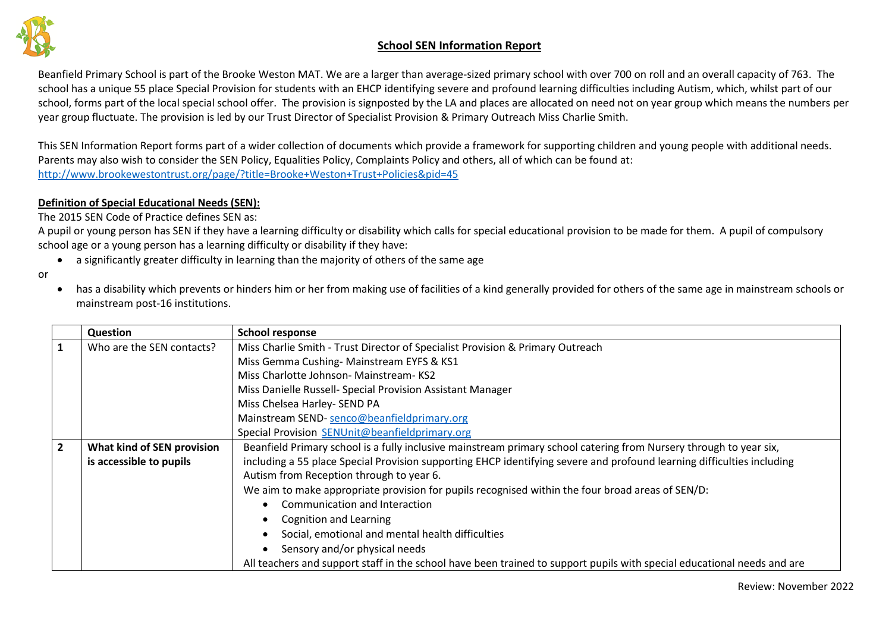

Beanfield Primary School is part of the Brooke Weston MAT. We are a larger than average-sized primary school with over 700 on roll and an overall capacity of 763. The school has a unique 55 place Special Provision for students with an EHCP identifying severe and profound learning difficulties including Autism, which, whilst part of our school, forms part of the local special school offer. The provision is signposted by the LA and places are allocated on need not on year group which means the numbers per year group fluctuate. The provision is led by our Trust Director of Specialist Provision & Primary Outreach Miss Charlie Smith.

This SEN Information Report forms part of a wider collection of documents which provide a framework for supporting children and young people with additional needs. Parents may also wish to consider the SEN Policy, Equalities Policy, Complaints Policy and others, all of which can be found at: <http://www.brookewestontrust.org/page/?title=Brooke+Weston+Trust+Policies&pid=45>

#### **Definition of Special Educational Needs (SEN):**

The 2015 SEN Code of Practice defines SEN as:

A pupil or young person has SEN if they have a learning difficulty or disability which calls for special educational provision to be made for them. A pupil of compulsory school age or a young person has a learning difficulty or disability if they have:

• a significantly greater difficulty in learning than the majority of others of the same age

or

• has a disability which prevents or hinders him or her from making use of facilities of a kind generally provided for others of the same age in mainstream schools or mainstream post-16 institutions.

|                | <b>Question</b>            | <b>School response</b>                                                                                                  |
|----------------|----------------------------|-------------------------------------------------------------------------------------------------------------------------|
| 1              | Who are the SEN contacts?  | Miss Charlie Smith - Trust Director of Specialist Provision & Primary Outreach                                          |
|                |                            | Miss Gemma Cushing-Mainstream EYFS & KS1                                                                                |
|                |                            | Miss Charlotte Johnson- Mainstream-KS2                                                                                  |
|                |                            | Miss Danielle Russell- Special Provision Assistant Manager                                                              |
|                |                            | Miss Chelsea Harley- SEND PA                                                                                            |
|                |                            | Mainstream SEND-senco@beanfieldprimary.org                                                                              |
|                |                            | Special Provision SENUnit@beanfieldprimary.org                                                                          |
| $\overline{2}$ | What kind of SEN provision | Beanfield Primary school is a fully inclusive mainstream primary school catering from Nursery through to year six,      |
|                | is accessible to pupils    | including a 55 place Special Provision supporting EHCP identifying severe and profound learning difficulties including  |
|                |                            | Autism from Reception through to year 6.                                                                                |
|                |                            | We aim to make appropriate provision for pupils recognised within the four broad areas of SEN/D:                        |
|                |                            | Communication and Interaction                                                                                           |
|                |                            | <b>Cognition and Learning</b>                                                                                           |
|                |                            | Social, emotional and mental health difficulties                                                                        |
|                |                            | Sensory and/or physical needs                                                                                           |
|                |                            | All teachers and support staff in the school have been trained to support pupils with special educational needs and are |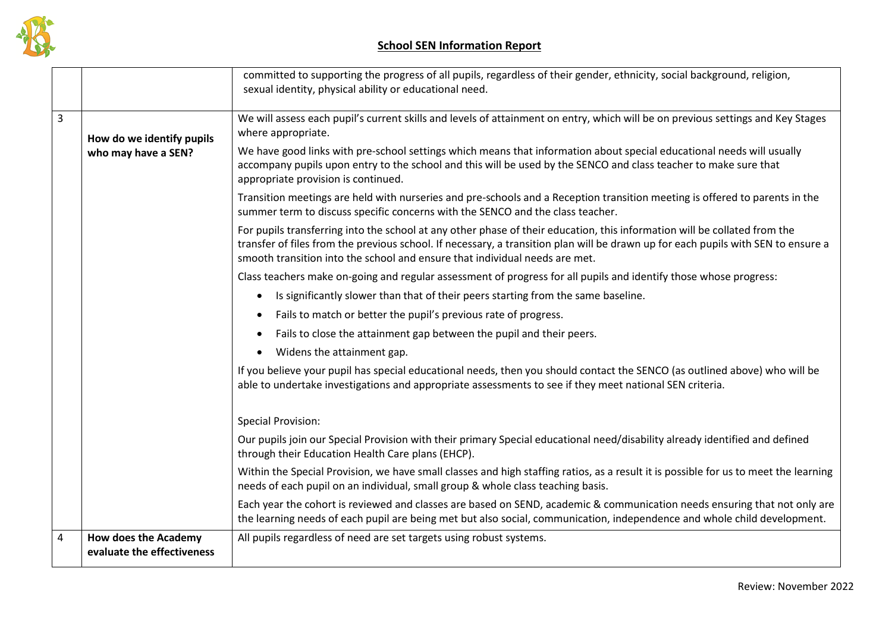

|                         |                                                           | committed to supporting the progress of all pupils, regardless of their gender, ethnicity, social background, religion,<br>sexual identity, physical ability or educational need.                                                                                                                                                             |
|-------------------------|-----------------------------------------------------------|-----------------------------------------------------------------------------------------------------------------------------------------------------------------------------------------------------------------------------------------------------------------------------------------------------------------------------------------------|
|                         |                                                           |                                                                                                                                                                                                                                                                                                                                               |
| $\overline{3}$          | How do we identify pupils                                 | We will assess each pupil's current skills and levels of attainment on entry, which will be on previous settings and Key Stages<br>where appropriate.                                                                                                                                                                                         |
|                         | who may have a SEN?                                       | We have good links with pre-school settings which means that information about special educational needs will usually<br>accompany pupils upon entry to the school and this will be used by the SENCO and class teacher to make sure that<br>appropriate provision is continued.                                                              |
|                         |                                                           | Transition meetings are held with nurseries and pre-schools and a Reception transition meeting is offered to parents in the<br>summer term to discuss specific concerns with the SENCO and the class teacher.                                                                                                                                 |
|                         |                                                           | For pupils transferring into the school at any other phase of their education, this information will be collated from the<br>transfer of files from the previous school. If necessary, a transition plan will be drawn up for each pupils with SEN to ensure a<br>smooth transition into the school and ensure that individual needs are met. |
|                         |                                                           | Class teachers make on-going and regular assessment of progress for all pupils and identify those whose progress:                                                                                                                                                                                                                             |
|                         |                                                           | Is significantly slower than that of their peers starting from the same baseline.<br>$\bullet$                                                                                                                                                                                                                                                |
|                         |                                                           | Fails to match or better the pupil's previous rate of progress.<br>$\bullet$                                                                                                                                                                                                                                                                  |
|                         |                                                           | Fails to close the attainment gap between the pupil and their peers.<br>$\bullet$                                                                                                                                                                                                                                                             |
|                         |                                                           | Widens the attainment gap.<br>$\bullet$                                                                                                                                                                                                                                                                                                       |
|                         |                                                           | If you believe your pupil has special educational needs, then you should contact the SENCO (as outlined above) who will be<br>able to undertake investigations and appropriate assessments to see if they meet national SEN criteria.                                                                                                         |
|                         |                                                           | <b>Special Provision:</b>                                                                                                                                                                                                                                                                                                                     |
|                         |                                                           | Our pupils join our Special Provision with their primary Special educational need/disability already identified and defined<br>through their Education Health Care plans (EHCP).                                                                                                                                                              |
|                         |                                                           | Within the Special Provision, we have small classes and high staffing ratios, as a result it is possible for us to meet the learning<br>needs of each pupil on an individual, small group & whole class teaching basis.                                                                                                                       |
|                         |                                                           | Each year the cohort is reviewed and classes are based on SEND, academic & communication needs ensuring that not only are<br>the learning needs of each pupil are being met but also social, communication, independence and whole child development.                                                                                         |
| $\overline{\mathbf{4}}$ | <b>How does the Academy</b><br>evaluate the effectiveness | All pupils regardless of need are set targets using robust systems.                                                                                                                                                                                                                                                                           |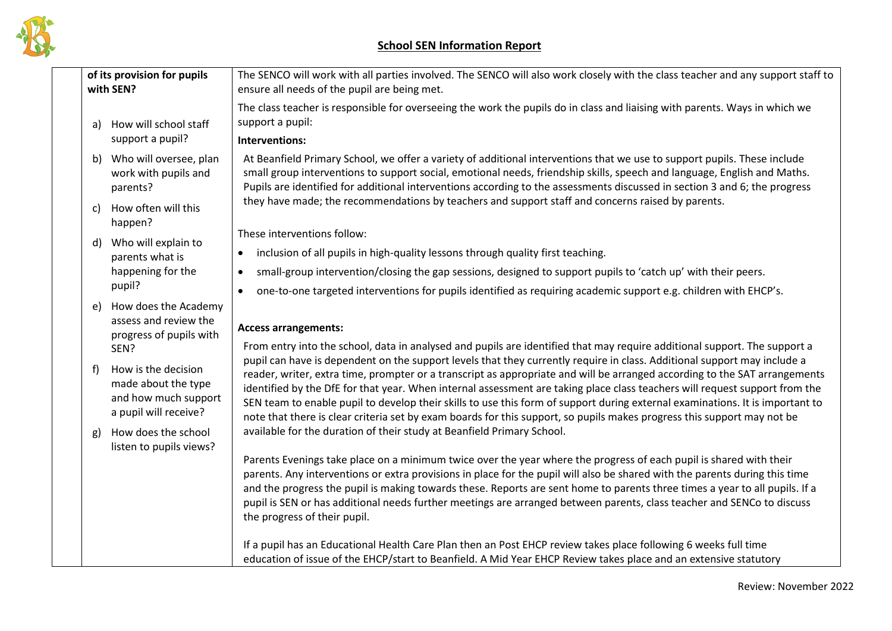

| of its provision for pupils<br>with SEN? |                                                                                                           | The SENCO will work with all parties involved. The SENCO will also work closely with the class teacher and any support staff to<br>ensure all needs of the pupil are being met.                                                                                                                                                                                                                                                                                                                                                                                                                                                                                                                                                                                                |
|------------------------------------------|-----------------------------------------------------------------------------------------------------------|--------------------------------------------------------------------------------------------------------------------------------------------------------------------------------------------------------------------------------------------------------------------------------------------------------------------------------------------------------------------------------------------------------------------------------------------------------------------------------------------------------------------------------------------------------------------------------------------------------------------------------------------------------------------------------------------------------------------------------------------------------------------------------|
|                                          | How will school staff<br>a)<br>support a pupil?                                                           | The class teacher is responsible for overseeing the work the pupils do in class and liaising with parents. Ways in which we<br>support a pupil:<br>Interventions:                                                                                                                                                                                                                                                                                                                                                                                                                                                                                                                                                                                                              |
|                                          | Who will oversee, plan<br>b)<br>work with pupils and<br>parents?                                          | At Beanfield Primary School, we offer a variety of additional interventions that we use to support pupils. These include<br>small group interventions to support social, emotional needs, friendship skills, speech and language, English and Maths.<br>Pupils are identified for additional interventions according to the assessments discussed in section 3 and 6; the progress                                                                                                                                                                                                                                                                                                                                                                                             |
|                                          | How often will this<br>C)<br>happen?                                                                      | they have made; the recommendations by teachers and support staff and concerns raised by parents.                                                                                                                                                                                                                                                                                                                                                                                                                                                                                                                                                                                                                                                                              |
|                                          | Who will explain to<br>d)<br>parents what is<br>happening for the<br>pupil?                               | These interventions follow:<br>inclusion of all pupils in high-quality lessons through quality first teaching.<br>$\bullet$<br>small-group intervention/closing the gap sessions, designed to support pupils to 'catch up' with their peers.<br>$\bullet$<br>one-to-one targeted interventions for pupils identified as requiring academic support e.g. children with EHCP's.<br>$\bullet$                                                                                                                                                                                                                                                                                                                                                                                     |
|                                          | How does the Academy<br>e)<br>assess and review the<br>progress of pupils with                            | <b>Access arrangements:</b>                                                                                                                                                                                                                                                                                                                                                                                                                                                                                                                                                                                                                                                                                                                                                    |
|                                          | SEN?<br>How is the decision<br>f)<br>made about the type<br>and how much support<br>a pupil will receive? | From entry into the school, data in analysed and pupils are identified that may require additional support. The support a<br>pupil can have is dependent on the support levels that they currently require in class. Additional support may include a<br>reader, writer, extra time, prompter or a transcript as appropriate and will be arranged according to the SAT arrangements<br>identified by the DfE for that year. When internal assessment are taking place class teachers will request support from the<br>SEN team to enable pupil to develop their skills to use this form of support during external examinations. It is important to<br>note that there is clear criteria set by exam boards for this support, so pupils makes progress this support may not be |
|                                          | How does the school<br>g)<br>listen to pupils views?                                                      | available for the duration of their study at Beanfield Primary School.<br>Parents Evenings take place on a minimum twice over the year where the progress of each pupil is shared with their<br>parents. Any interventions or extra provisions in place for the pupil will also be shared with the parents during this time<br>and the progress the pupil is making towards these. Reports are sent home to parents three times a year to all pupils. If a<br>pupil is SEN or has additional needs further meetings are arranged between parents, class teacher and SENCo to discuss<br>the progress of their pupil.                                                                                                                                                           |
|                                          |                                                                                                           | If a pupil has an Educational Health Care Plan then an Post EHCP review takes place following 6 weeks full time<br>education of issue of the EHCP/start to Beanfield. A Mid Year EHCP Review takes place and an extensive statutory                                                                                                                                                                                                                                                                                                                                                                                                                                                                                                                                            |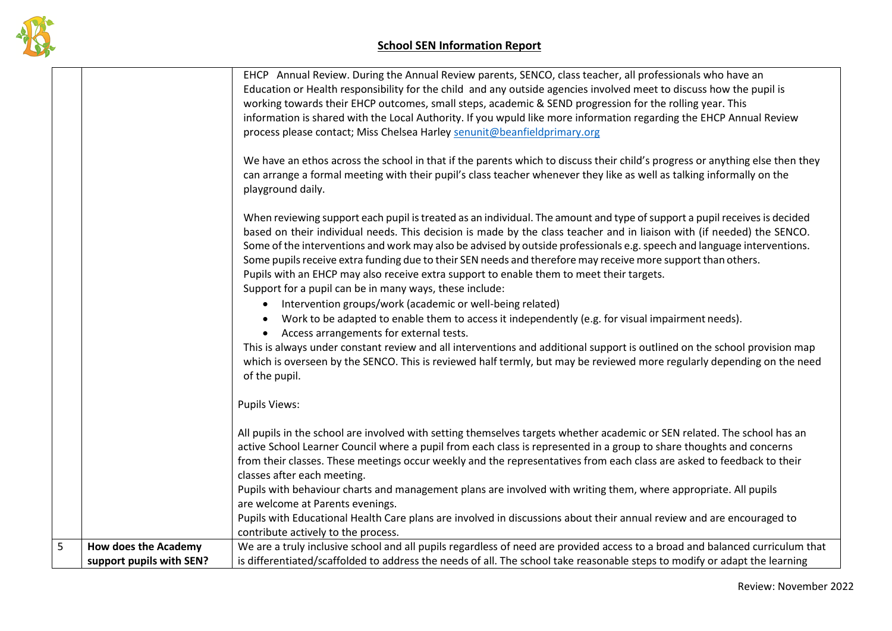

|                 |                                                         | EHCP Annual Review. During the Annual Review parents, SENCO, class teacher, all professionals who have an<br>Education or Health responsibility for the child and any outside agencies involved meet to discuss how the pupil is<br>working towards their EHCP outcomes, small steps, academic & SEND progression for the rolling year. This                                                                                                                                                                                                                                                                                                          |
|-----------------|---------------------------------------------------------|-------------------------------------------------------------------------------------------------------------------------------------------------------------------------------------------------------------------------------------------------------------------------------------------------------------------------------------------------------------------------------------------------------------------------------------------------------------------------------------------------------------------------------------------------------------------------------------------------------------------------------------------------------|
|                 |                                                         | information is shared with the Local Authority. If you wpuld like more information regarding the EHCP Annual Review<br>process please contact; Miss Chelsea Harley senunit@beanfieldprimary.org                                                                                                                                                                                                                                                                                                                                                                                                                                                       |
|                 |                                                         | We have an ethos across the school in that if the parents which to discuss their child's progress or anything else then they<br>can arrange a formal meeting with their pupil's class teacher whenever they like as well as talking informally on the<br>playground daily.                                                                                                                                                                                                                                                                                                                                                                            |
|                 |                                                         | When reviewing support each pupil is treated as an individual. The amount and type of support a pupil receives is decided<br>based on their individual needs. This decision is made by the class teacher and in liaison with (if needed) the SENCO.<br>Some of the interventions and work may also be advised by outside professionals e.g. speech and language interventions.<br>Some pupils receive extra funding due to their SEN needs and therefore may receive more support than others.<br>Pupils with an EHCP may also receive extra support to enable them to meet their targets.<br>Support for a pupil can be in many ways, these include: |
|                 |                                                         | Intervention groups/work (academic or well-being related)<br>Work to be adapted to enable them to access it independently (e.g. for visual impairment needs).                                                                                                                                                                                                                                                                                                                                                                                                                                                                                         |
|                 |                                                         | • Access arrangements for external tests.<br>This is always under constant review and all interventions and additional support is outlined on the school provision map<br>which is overseen by the SENCO. This is reviewed half termly, but may be reviewed more regularly depending on the need<br>of the pupil.                                                                                                                                                                                                                                                                                                                                     |
|                 |                                                         | <b>Pupils Views:</b>                                                                                                                                                                                                                                                                                                                                                                                                                                                                                                                                                                                                                                  |
|                 |                                                         | All pupils in the school are involved with setting themselves targets whether academic or SEN related. The school has an<br>active School Learner Council where a pupil from each class is represented in a group to share thoughts and concerns<br>from their classes. These meetings occur weekly and the representatives from each class are asked to feedback to their<br>classes after each meeting.                                                                                                                                                                                                                                             |
|                 |                                                         | Pupils with behaviour charts and management plans are involved with writing them, where appropriate. All pupils<br>are welcome at Parents evenings.                                                                                                                                                                                                                                                                                                                                                                                                                                                                                                   |
|                 |                                                         | Pupils with Educational Health Care plans are involved in discussions about their annual review and are encouraged to<br>contribute actively to the process.                                                                                                                                                                                                                                                                                                                                                                                                                                                                                          |
| $5\phantom{.0}$ | <b>How does the Academy</b><br>support pupils with SEN? | We are a truly inclusive school and all pupils regardless of need are provided access to a broad and balanced curriculum that<br>is differentiated/scaffolded to address the needs of all. The school take reasonable steps to modify or adapt the learning                                                                                                                                                                                                                                                                                                                                                                                           |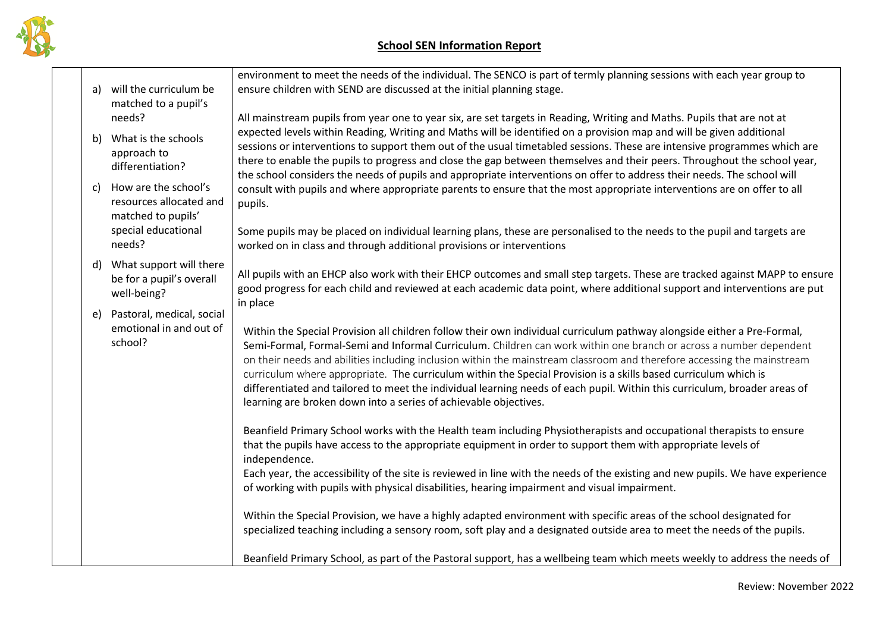

| a) | will the curriculum be<br>matched to a pupil's                        | environment to meet the needs of the individual. The SENCO is part of termly planning sessions with each year group to<br>ensure children with SEND are discussed at the initial planning stage.                                                                                                                                                                                                                                                                                                                                                                                                                                                                                                         |
|----|-----------------------------------------------------------------------|----------------------------------------------------------------------------------------------------------------------------------------------------------------------------------------------------------------------------------------------------------------------------------------------------------------------------------------------------------------------------------------------------------------------------------------------------------------------------------------------------------------------------------------------------------------------------------------------------------------------------------------------------------------------------------------------------------|
|    | needs?                                                                | All mainstream pupils from year one to year six, are set targets in Reading, Writing and Maths. Pupils that are not at<br>expected levels within Reading, Writing and Maths will be identified on a provision map and will be given additional                                                                                                                                                                                                                                                                                                                                                                                                                                                           |
| b) | What is the schools<br>approach to<br>differentiation?                | sessions or interventions to support them out of the usual timetabled sessions. These are intensive programmes which are<br>there to enable the pupils to progress and close the gap between themselves and their peers. Throughout the school year,<br>the school considers the needs of pupils and appropriate interventions on offer to address their needs. The school will                                                                                                                                                                                                                                                                                                                          |
| c) | How are the school's<br>resources allocated and<br>matched to pupils' | consult with pupils and where appropriate parents to ensure that the most appropriate interventions are on offer to all<br>pupils.                                                                                                                                                                                                                                                                                                                                                                                                                                                                                                                                                                       |
|    | special educational<br>needs?                                         | Some pupils may be placed on individual learning plans, these are personalised to the needs to the pupil and targets are<br>worked on in class and through additional provisions or interventions                                                                                                                                                                                                                                                                                                                                                                                                                                                                                                        |
| d) | What support will there<br>be for a pupil's overall<br>well-being?    | All pupils with an EHCP also work with their EHCP outcomes and small step targets. These are tracked against MAPP to ensure<br>good progress for each child and reviewed at each academic data point, where additional support and interventions are put                                                                                                                                                                                                                                                                                                                                                                                                                                                 |
| e) | Pastoral, medical, social<br>emotional in and out of<br>school?       | in place<br>Within the Special Provision all children follow their own individual curriculum pathway alongside either a Pre-Formal,<br>Semi-Formal, Formal-Semi and Informal Curriculum. Children can work within one branch or across a number dependent<br>on their needs and abilities including inclusion within the mainstream classroom and therefore accessing the mainstream<br>curriculum where appropriate. The curriculum within the Special Provision is a skills based curriculum which is<br>differentiated and tailored to meet the individual learning needs of each pupil. Within this curriculum, broader areas of<br>learning are broken down into a series of achievable objectives. |
|    |                                                                       | Beanfield Primary School works with the Health team including Physiotherapists and occupational therapists to ensure<br>that the pupils have access to the appropriate equipment in order to support them with appropriate levels of<br>independence.                                                                                                                                                                                                                                                                                                                                                                                                                                                    |
|    |                                                                       | Each year, the accessibility of the site is reviewed in line with the needs of the existing and new pupils. We have experience<br>of working with pupils with physical disabilities, hearing impairment and visual impairment.                                                                                                                                                                                                                                                                                                                                                                                                                                                                           |
|    |                                                                       | Within the Special Provision, we have a highly adapted environment with specific areas of the school designated for<br>specialized teaching including a sensory room, soft play and a designated outside area to meet the needs of the pupils.                                                                                                                                                                                                                                                                                                                                                                                                                                                           |
|    |                                                                       | Beanfield Primary School, as part of the Pastoral support, has a wellbeing team which meets weekly to address the needs of                                                                                                                                                                                                                                                                                                                                                                                                                                                                                                                                                                               |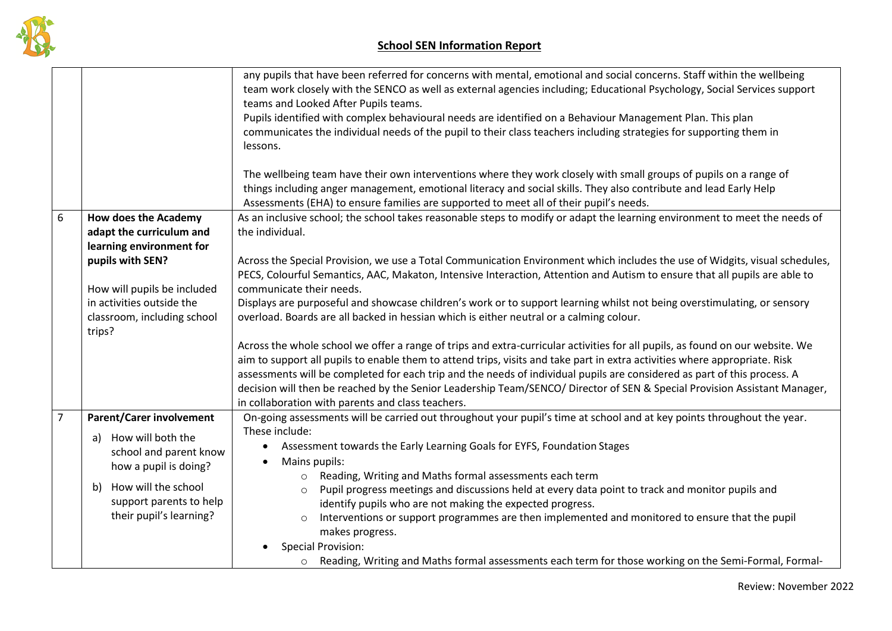

| any pupils that have been referred for concerns with mental, emotional and social concerns. Staff within the wellbeing<br>team work closely with the SENCO as well as external agencies including; Educational Psychology, Social Services support<br>teams and Looked After Pupils teams.<br>Pupils identified with complex behavioural needs are identified on a Behaviour Management Plan. This plan<br>communicates the individual needs of the pupil to their class teachers including strategies for supporting them in<br>lessons.<br>The wellbeing team have their own interventions where they work closely with small groups of pupils on a range of<br>things including anger management, emotional literacy and social skills. They also contribute and lead Early Help<br>Assessments (EHA) to ensure families are supported to meet all of their pupil's needs.<br>$\boldsymbol{6}$<br>As an inclusive school; the school takes reasonable steps to modify or adapt the learning environment to meet the needs of<br><b>How does the Academy</b><br>the individual.<br>adapt the curriculum and<br>learning environment for<br>pupils with SEN?<br>Across the Special Provision, we use a Total Communication Environment which includes the use of Widgits, visual schedules,<br>PECS, Colourful Semantics, AAC, Makaton, Intensive Interaction, Attention and Autism to ensure that all pupils are able to<br>communicate their needs.<br>How will pupils be included<br>in activities outside the<br>Displays are purposeful and showcase children's work or to support learning whilst not being overstimulating, or sensory<br>overload. Boards are all backed in hessian which is either neutral or a calming colour.<br>classroom, including school<br>trips?<br>Across the whole school we offer a range of trips and extra-curricular activities for all pupils, as found on our website. We<br>aim to support all pupils to enable them to attend trips, visits and take part in extra activities where appropriate. Risk<br>assessments will be completed for each trip and the needs of individual pupils are considered as part of this process. A<br>decision will then be reached by the Senior Leadership Team/SENCO/ Director of SEN & Special Provision Assistant Manager,<br>in collaboration with parents and class teachers.<br>$\overline{7}$<br><b>Parent/Carer involvement</b><br>On-going assessments will be carried out throughout your pupil's time at school and at key points throughout the year.<br>These include:<br>How will both the<br>a)<br>Assessment towards the Early Learning Goals for EYFS, Foundation Stages<br>$\bullet$<br>school and parent know<br>Mains pupils:<br>how a pupil is doing?<br>o Reading, Writing and Maths formal assessments each term<br>How will the school<br>b)<br>Pupil progress meetings and discussions held at every data point to track and monitor pupils and<br>$\circ$<br>support parents to help<br>identify pupils who are not making the expected progress.<br>their pupil's learning?<br>Interventions or support programmes are then implemented and monitored to ensure that the pupil<br>$\circ$<br>makes progress. |  |  |
|----------------------------------------------------------------------------------------------------------------------------------------------------------------------------------------------------------------------------------------------------------------------------------------------------------------------------------------------------------------------------------------------------------------------------------------------------------------------------------------------------------------------------------------------------------------------------------------------------------------------------------------------------------------------------------------------------------------------------------------------------------------------------------------------------------------------------------------------------------------------------------------------------------------------------------------------------------------------------------------------------------------------------------------------------------------------------------------------------------------------------------------------------------------------------------------------------------------------------------------------------------------------------------------------------------------------------------------------------------------------------------------------------------------------------------------------------------------------------------------------------------------------------------------------------------------------------------------------------------------------------------------------------------------------------------------------------------------------------------------------------------------------------------------------------------------------------------------------------------------------------------------------------------------------------------------------------------------------------------------------------------------------------------------------------------------------------------------------------------------------------------------------------------------------------------------------------------------------------------------------------------------------------------------------------------------------------------------------------------------------------------------------------------------------------------------------------------------------------------------------------------------------------------------------------------------------------------------------------------------------------------------------------------------------------------------------------------------------------------------------------------------------------------------------------------------------------------------------------------------------------------------------------------------------------------------------------------------------------------------------------------------------------------------------------------------------------------------------------------------------------------------------------------------------------------------------------------------------|--|--|
|                                                                                                                                                                                                                                                                                                                                                                                                                                                                                                                                                                                                                                                                                                                                                                                                                                                                                                                                                                                                                                                                                                                                                                                                                                                                                                                                                                                                                                                                                                                                                                                                                                                                                                                                                                                                                                                                                                                                                                                                                                                                                                                                                                                                                                                                                                                                                                                                                                                                                                                                                                                                                                                                                                                                                                                                                                                                                                                                                                                                                                                                                                                                                                                                                      |  |  |
|                                                                                                                                                                                                                                                                                                                                                                                                                                                                                                                                                                                                                                                                                                                                                                                                                                                                                                                                                                                                                                                                                                                                                                                                                                                                                                                                                                                                                                                                                                                                                                                                                                                                                                                                                                                                                                                                                                                                                                                                                                                                                                                                                                                                                                                                                                                                                                                                                                                                                                                                                                                                                                                                                                                                                                                                                                                                                                                                                                                                                                                                                                                                                                                                                      |  |  |
|                                                                                                                                                                                                                                                                                                                                                                                                                                                                                                                                                                                                                                                                                                                                                                                                                                                                                                                                                                                                                                                                                                                                                                                                                                                                                                                                                                                                                                                                                                                                                                                                                                                                                                                                                                                                                                                                                                                                                                                                                                                                                                                                                                                                                                                                                                                                                                                                                                                                                                                                                                                                                                                                                                                                                                                                                                                                                                                                                                                                                                                                                                                                                                                                                      |  |  |
|                                                                                                                                                                                                                                                                                                                                                                                                                                                                                                                                                                                                                                                                                                                                                                                                                                                                                                                                                                                                                                                                                                                                                                                                                                                                                                                                                                                                                                                                                                                                                                                                                                                                                                                                                                                                                                                                                                                                                                                                                                                                                                                                                                                                                                                                                                                                                                                                                                                                                                                                                                                                                                                                                                                                                                                                                                                                                                                                                                                                                                                                                                                                                                                                                      |  |  |
|                                                                                                                                                                                                                                                                                                                                                                                                                                                                                                                                                                                                                                                                                                                                                                                                                                                                                                                                                                                                                                                                                                                                                                                                                                                                                                                                                                                                                                                                                                                                                                                                                                                                                                                                                                                                                                                                                                                                                                                                                                                                                                                                                                                                                                                                                                                                                                                                                                                                                                                                                                                                                                                                                                                                                                                                                                                                                                                                                                                                                                                                                                                                                                                                                      |  |  |
|                                                                                                                                                                                                                                                                                                                                                                                                                                                                                                                                                                                                                                                                                                                                                                                                                                                                                                                                                                                                                                                                                                                                                                                                                                                                                                                                                                                                                                                                                                                                                                                                                                                                                                                                                                                                                                                                                                                                                                                                                                                                                                                                                                                                                                                                                                                                                                                                                                                                                                                                                                                                                                                                                                                                                                                                                                                                                                                                                                                                                                                                                                                                                                                                                      |  |  |
|                                                                                                                                                                                                                                                                                                                                                                                                                                                                                                                                                                                                                                                                                                                                                                                                                                                                                                                                                                                                                                                                                                                                                                                                                                                                                                                                                                                                                                                                                                                                                                                                                                                                                                                                                                                                                                                                                                                                                                                                                                                                                                                                                                                                                                                                                                                                                                                                                                                                                                                                                                                                                                                                                                                                                                                                                                                                                                                                                                                                                                                                                                                                                                                                                      |  |  |
|                                                                                                                                                                                                                                                                                                                                                                                                                                                                                                                                                                                                                                                                                                                                                                                                                                                                                                                                                                                                                                                                                                                                                                                                                                                                                                                                                                                                                                                                                                                                                                                                                                                                                                                                                                                                                                                                                                                                                                                                                                                                                                                                                                                                                                                                                                                                                                                                                                                                                                                                                                                                                                                                                                                                                                                                                                                                                                                                                                                                                                                                                                                                                                                                                      |  |  |
|                                                                                                                                                                                                                                                                                                                                                                                                                                                                                                                                                                                                                                                                                                                                                                                                                                                                                                                                                                                                                                                                                                                                                                                                                                                                                                                                                                                                                                                                                                                                                                                                                                                                                                                                                                                                                                                                                                                                                                                                                                                                                                                                                                                                                                                                                                                                                                                                                                                                                                                                                                                                                                                                                                                                                                                                                                                                                                                                                                                                                                                                                                                                                                                                                      |  |  |
|                                                                                                                                                                                                                                                                                                                                                                                                                                                                                                                                                                                                                                                                                                                                                                                                                                                                                                                                                                                                                                                                                                                                                                                                                                                                                                                                                                                                                                                                                                                                                                                                                                                                                                                                                                                                                                                                                                                                                                                                                                                                                                                                                                                                                                                                                                                                                                                                                                                                                                                                                                                                                                                                                                                                                                                                                                                                                                                                                                                                                                                                                                                                                                                                                      |  |  |
|                                                                                                                                                                                                                                                                                                                                                                                                                                                                                                                                                                                                                                                                                                                                                                                                                                                                                                                                                                                                                                                                                                                                                                                                                                                                                                                                                                                                                                                                                                                                                                                                                                                                                                                                                                                                                                                                                                                                                                                                                                                                                                                                                                                                                                                                                                                                                                                                                                                                                                                                                                                                                                                                                                                                                                                                                                                                                                                                                                                                                                                                                                                                                                                                                      |  |  |
|                                                                                                                                                                                                                                                                                                                                                                                                                                                                                                                                                                                                                                                                                                                                                                                                                                                                                                                                                                                                                                                                                                                                                                                                                                                                                                                                                                                                                                                                                                                                                                                                                                                                                                                                                                                                                                                                                                                                                                                                                                                                                                                                                                                                                                                                                                                                                                                                                                                                                                                                                                                                                                                                                                                                                                                                                                                                                                                                                                                                                                                                                                                                                                                                                      |  |  |
|                                                                                                                                                                                                                                                                                                                                                                                                                                                                                                                                                                                                                                                                                                                                                                                                                                                                                                                                                                                                                                                                                                                                                                                                                                                                                                                                                                                                                                                                                                                                                                                                                                                                                                                                                                                                                                                                                                                                                                                                                                                                                                                                                                                                                                                                                                                                                                                                                                                                                                                                                                                                                                                                                                                                                                                                                                                                                                                                                                                                                                                                                                                                                                                                                      |  |  |
|                                                                                                                                                                                                                                                                                                                                                                                                                                                                                                                                                                                                                                                                                                                                                                                                                                                                                                                                                                                                                                                                                                                                                                                                                                                                                                                                                                                                                                                                                                                                                                                                                                                                                                                                                                                                                                                                                                                                                                                                                                                                                                                                                                                                                                                                                                                                                                                                                                                                                                                                                                                                                                                                                                                                                                                                                                                                                                                                                                                                                                                                                                                                                                                                                      |  |  |
|                                                                                                                                                                                                                                                                                                                                                                                                                                                                                                                                                                                                                                                                                                                                                                                                                                                                                                                                                                                                                                                                                                                                                                                                                                                                                                                                                                                                                                                                                                                                                                                                                                                                                                                                                                                                                                                                                                                                                                                                                                                                                                                                                                                                                                                                                                                                                                                                                                                                                                                                                                                                                                                                                                                                                                                                                                                                                                                                                                                                                                                                                                                                                                                                                      |  |  |
|                                                                                                                                                                                                                                                                                                                                                                                                                                                                                                                                                                                                                                                                                                                                                                                                                                                                                                                                                                                                                                                                                                                                                                                                                                                                                                                                                                                                                                                                                                                                                                                                                                                                                                                                                                                                                                                                                                                                                                                                                                                                                                                                                                                                                                                                                                                                                                                                                                                                                                                                                                                                                                                                                                                                                                                                                                                                                                                                                                                                                                                                                                                                                                                                                      |  |  |
|                                                                                                                                                                                                                                                                                                                                                                                                                                                                                                                                                                                                                                                                                                                                                                                                                                                                                                                                                                                                                                                                                                                                                                                                                                                                                                                                                                                                                                                                                                                                                                                                                                                                                                                                                                                                                                                                                                                                                                                                                                                                                                                                                                                                                                                                                                                                                                                                                                                                                                                                                                                                                                                                                                                                                                                                                                                                                                                                                                                                                                                                                                                                                                                                                      |  |  |
|                                                                                                                                                                                                                                                                                                                                                                                                                                                                                                                                                                                                                                                                                                                                                                                                                                                                                                                                                                                                                                                                                                                                                                                                                                                                                                                                                                                                                                                                                                                                                                                                                                                                                                                                                                                                                                                                                                                                                                                                                                                                                                                                                                                                                                                                                                                                                                                                                                                                                                                                                                                                                                                                                                                                                                                                                                                                                                                                                                                                                                                                                                                                                                                                                      |  |  |
|                                                                                                                                                                                                                                                                                                                                                                                                                                                                                                                                                                                                                                                                                                                                                                                                                                                                                                                                                                                                                                                                                                                                                                                                                                                                                                                                                                                                                                                                                                                                                                                                                                                                                                                                                                                                                                                                                                                                                                                                                                                                                                                                                                                                                                                                                                                                                                                                                                                                                                                                                                                                                                                                                                                                                                                                                                                                                                                                                                                                                                                                                                                                                                                                                      |  |  |
|                                                                                                                                                                                                                                                                                                                                                                                                                                                                                                                                                                                                                                                                                                                                                                                                                                                                                                                                                                                                                                                                                                                                                                                                                                                                                                                                                                                                                                                                                                                                                                                                                                                                                                                                                                                                                                                                                                                                                                                                                                                                                                                                                                                                                                                                                                                                                                                                                                                                                                                                                                                                                                                                                                                                                                                                                                                                                                                                                                                                                                                                                                                                                                                                                      |  |  |
|                                                                                                                                                                                                                                                                                                                                                                                                                                                                                                                                                                                                                                                                                                                                                                                                                                                                                                                                                                                                                                                                                                                                                                                                                                                                                                                                                                                                                                                                                                                                                                                                                                                                                                                                                                                                                                                                                                                                                                                                                                                                                                                                                                                                                                                                                                                                                                                                                                                                                                                                                                                                                                                                                                                                                                                                                                                                                                                                                                                                                                                                                                                                                                                                                      |  |  |
|                                                                                                                                                                                                                                                                                                                                                                                                                                                                                                                                                                                                                                                                                                                                                                                                                                                                                                                                                                                                                                                                                                                                                                                                                                                                                                                                                                                                                                                                                                                                                                                                                                                                                                                                                                                                                                                                                                                                                                                                                                                                                                                                                                                                                                                                                                                                                                                                                                                                                                                                                                                                                                                                                                                                                                                                                                                                                                                                                                                                                                                                                                                                                                                                                      |  |  |
|                                                                                                                                                                                                                                                                                                                                                                                                                                                                                                                                                                                                                                                                                                                                                                                                                                                                                                                                                                                                                                                                                                                                                                                                                                                                                                                                                                                                                                                                                                                                                                                                                                                                                                                                                                                                                                                                                                                                                                                                                                                                                                                                                                                                                                                                                                                                                                                                                                                                                                                                                                                                                                                                                                                                                                                                                                                                                                                                                                                                                                                                                                                                                                                                                      |  |  |
|                                                                                                                                                                                                                                                                                                                                                                                                                                                                                                                                                                                                                                                                                                                                                                                                                                                                                                                                                                                                                                                                                                                                                                                                                                                                                                                                                                                                                                                                                                                                                                                                                                                                                                                                                                                                                                                                                                                                                                                                                                                                                                                                                                                                                                                                                                                                                                                                                                                                                                                                                                                                                                                                                                                                                                                                                                                                                                                                                                                                                                                                                                                                                                                                                      |  |  |
|                                                                                                                                                                                                                                                                                                                                                                                                                                                                                                                                                                                                                                                                                                                                                                                                                                                                                                                                                                                                                                                                                                                                                                                                                                                                                                                                                                                                                                                                                                                                                                                                                                                                                                                                                                                                                                                                                                                                                                                                                                                                                                                                                                                                                                                                                                                                                                                                                                                                                                                                                                                                                                                                                                                                                                                                                                                                                                                                                                                                                                                                                                                                                                                                                      |  |  |
|                                                                                                                                                                                                                                                                                                                                                                                                                                                                                                                                                                                                                                                                                                                                                                                                                                                                                                                                                                                                                                                                                                                                                                                                                                                                                                                                                                                                                                                                                                                                                                                                                                                                                                                                                                                                                                                                                                                                                                                                                                                                                                                                                                                                                                                                                                                                                                                                                                                                                                                                                                                                                                                                                                                                                                                                                                                                                                                                                                                                                                                                                                                                                                                                                      |  |  |
|                                                                                                                                                                                                                                                                                                                                                                                                                                                                                                                                                                                                                                                                                                                                                                                                                                                                                                                                                                                                                                                                                                                                                                                                                                                                                                                                                                                                                                                                                                                                                                                                                                                                                                                                                                                                                                                                                                                                                                                                                                                                                                                                                                                                                                                                                                                                                                                                                                                                                                                                                                                                                                                                                                                                                                                                                                                                                                                                                                                                                                                                                                                                                                                                                      |  |  |
|                                                                                                                                                                                                                                                                                                                                                                                                                                                                                                                                                                                                                                                                                                                                                                                                                                                                                                                                                                                                                                                                                                                                                                                                                                                                                                                                                                                                                                                                                                                                                                                                                                                                                                                                                                                                                                                                                                                                                                                                                                                                                                                                                                                                                                                                                                                                                                                                                                                                                                                                                                                                                                                                                                                                                                                                                                                                                                                                                                                                                                                                                                                                                                                                                      |  |  |
|                                                                                                                                                                                                                                                                                                                                                                                                                                                                                                                                                                                                                                                                                                                                                                                                                                                                                                                                                                                                                                                                                                                                                                                                                                                                                                                                                                                                                                                                                                                                                                                                                                                                                                                                                                                                                                                                                                                                                                                                                                                                                                                                                                                                                                                                                                                                                                                                                                                                                                                                                                                                                                                                                                                                                                                                                                                                                                                                                                                                                                                                                                                                                                                                                      |  |  |
|                                                                                                                                                                                                                                                                                                                                                                                                                                                                                                                                                                                                                                                                                                                                                                                                                                                                                                                                                                                                                                                                                                                                                                                                                                                                                                                                                                                                                                                                                                                                                                                                                                                                                                                                                                                                                                                                                                                                                                                                                                                                                                                                                                                                                                                                                                                                                                                                                                                                                                                                                                                                                                                                                                                                                                                                                                                                                                                                                                                                                                                                                                                                                                                                                      |  |  |
| <b>Special Provision:</b>                                                                                                                                                                                                                                                                                                                                                                                                                                                                                                                                                                                                                                                                                                                                                                                                                                                                                                                                                                                                                                                                                                                                                                                                                                                                                                                                                                                                                                                                                                                                                                                                                                                                                                                                                                                                                                                                                                                                                                                                                                                                                                                                                                                                                                                                                                                                                                                                                                                                                                                                                                                                                                                                                                                                                                                                                                                                                                                                                                                                                                                                                                                                                                                            |  |  |
| o Reading, Writing and Maths formal assessments each term for those working on the Semi-Formal, Formal-                                                                                                                                                                                                                                                                                                                                                                                                                                                                                                                                                                                                                                                                                                                                                                                                                                                                                                                                                                                                                                                                                                                                                                                                                                                                                                                                                                                                                                                                                                                                                                                                                                                                                                                                                                                                                                                                                                                                                                                                                                                                                                                                                                                                                                                                                                                                                                                                                                                                                                                                                                                                                                                                                                                                                                                                                                                                                                                                                                                                                                                                                                              |  |  |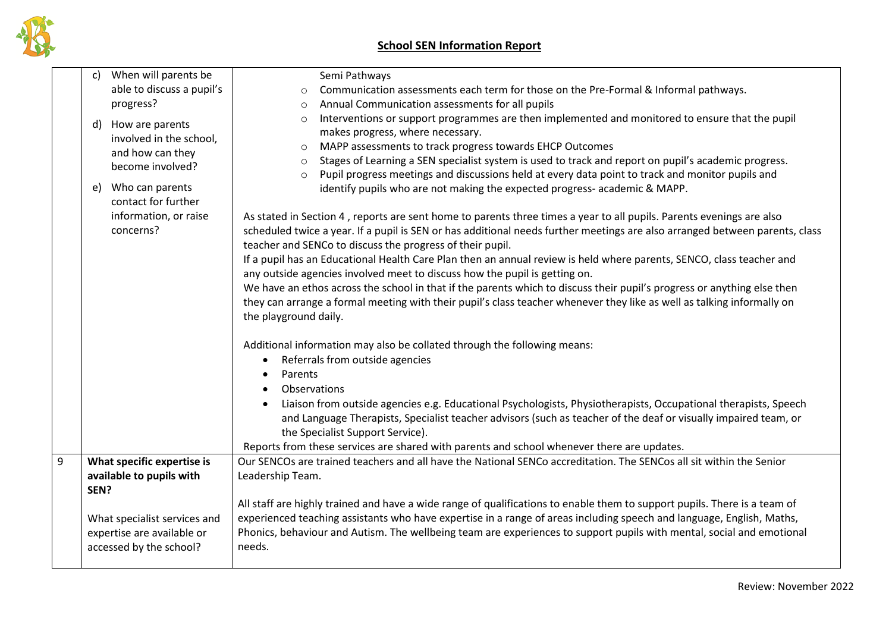

|   | When will parents be<br>C)                                                                                                                                                     | Semi Pathways                                                                                                                                                                                                                                                                                                                                                                                                                                                                                                                                                                                                                                                                                                                                                                                                                                                                                                                                                                                                                                                                                                                                                                                                                                                                                                       |
|---|--------------------------------------------------------------------------------------------------------------------------------------------------------------------------------|---------------------------------------------------------------------------------------------------------------------------------------------------------------------------------------------------------------------------------------------------------------------------------------------------------------------------------------------------------------------------------------------------------------------------------------------------------------------------------------------------------------------------------------------------------------------------------------------------------------------------------------------------------------------------------------------------------------------------------------------------------------------------------------------------------------------------------------------------------------------------------------------------------------------------------------------------------------------------------------------------------------------------------------------------------------------------------------------------------------------------------------------------------------------------------------------------------------------------------------------------------------------------------------------------------------------|
|   | able to discuss a pupil's                                                                                                                                                      | Communication assessments each term for those on the Pre-Formal & Informal pathways.<br>$\circ$                                                                                                                                                                                                                                                                                                                                                                                                                                                                                                                                                                                                                                                                                                                                                                                                                                                                                                                                                                                                                                                                                                                                                                                                                     |
|   | progress?                                                                                                                                                                      | Annual Communication assessments for all pupils<br>$\circ$                                                                                                                                                                                                                                                                                                                                                                                                                                                                                                                                                                                                                                                                                                                                                                                                                                                                                                                                                                                                                                                                                                                                                                                                                                                          |
|   | How are parents<br>d)<br>involved in the school,<br>and how can they<br>become involved?<br>Who can parents<br>e)<br>contact for further<br>information, or raise<br>concerns? | Interventions or support programmes are then implemented and monitored to ensure that the pupil<br>$\circ$<br>makes progress, where necessary.<br>MAPP assessments to track progress towards EHCP Outcomes<br>$\circ$<br>Stages of Learning a SEN specialist system is used to track and report on pupil's academic progress.<br>$\circ$<br>Pupil progress meetings and discussions held at every data point to track and monitor pupils and<br>$\circ$<br>identify pupils who are not making the expected progress-academic & MAPP.<br>As stated in Section 4, reports are sent home to parents three times a year to all pupils. Parents evenings are also<br>scheduled twice a year. If a pupil is SEN or has additional needs further meetings are also arranged between parents, class<br>teacher and SENCo to discuss the progress of their pupil.<br>If a pupil has an Educational Health Care Plan then an annual review is held where parents, SENCO, class teacher and<br>any outside agencies involved meet to discuss how the pupil is getting on.<br>We have an ethos across the school in that if the parents which to discuss their pupil's progress or anything else then<br>they can arrange a formal meeting with their pupil's class teacher whenever they like as well as talking informally on |
|   |                                                                                                                                                                                | the playground daily.                                                                                                                                                                                                                                                                                                                                                                                                                                                                                                                                                                                                                                                                                                                                                                                                                                                                                                                                                                                                                                                                                                                                                                                                                                                                                               |
|   |                                                                                                                                                                                | Additional information may also be collated through the following means:                                                                                                                                                                                                                                                                                                                                                                                                                                                                                                                                                                                                                                                                                                                                                                                                                                                                                                                                                                                                                                                                                                                                                                                                                                            |
|   |                                                                                                                                                                                | Referrals from outside agencies<br>$\bullet$                                                                                                                                                                                                                                                                                                                                                                                                                                                                                                                                                                                                                                                                                                                                                                                                                                                                                                                                                                                                                                                                                                                                                                                                                                                                        |
|   |                                                                                                                                                                                | Parents                                                                                                                                                                                                                                                                                                                                                                                                                                                                                                                                                                                                                                                                                                                                                                                                                                                                                                                                                                                                                                                                                                                                                                                                                                                                                                             |
|   |                                                                                                                                                                                | Observations                                                                                                                                                                                                                                                                                                                                                                                                                                                                                                                                                                                                                                                                                                                                                                                                                                                                                                                                                                                                                                                                                                                                                                                                                                                                                                        |
|   |                                                                                                                                                                                | Liaison from outside agencies e.g. Educational Psychologists, Physiotherapists, Occupational therapists, Speech<br>and Language Therapists, Specialist teacher advisors (such as teacher of the deaf or visually impaired team, or                                                                                                                                                                                                                                                                                                                                                                                                                                                                                                                                                                                                                                                                                                                                                                                                                                                                                                                                                                                                                                                                                  |
|   |                                                                                                                                                                                | the Specialist Support Service).                                                                                                                                                                                                                                                                                                                                                                                                                                                                                                                                                                                                                                                                                                                                                                                                                                                                                                                                                                                                                                                                                                                                                                                                                                                                                    |
|   |                                                                                                                                                                                | Reports from these services are shared with parents and school whenever there are updates.                                                                                                                                                                                                                                                                                                                                                                                                                                                                                                                                                                                                                                                                                                                                                                                                                                                                                                                                                                                                                                                                                                                                                                                                                          |
| 9 | What specific expertise is                                                                                                                                                     | Our SENCOs are trained teachers and all have the National SENCo accreditation. The SENCos all sit within the Senior                                                                                                                                                                                                                                                                                                                                                                                                                                                                                                                                                                                                                                                                                                                                                                                                                                                                                                                                                                                                                                                                                                                                                                                                 |
|   | available to pupils with                                                                                                                                                       | Leadership Team.                                                                                                                                                                                                                                                                                                                                                                                                                                                                                                                                                                                                                                                                                                                                                                                                                                                                                                                                                                                                                                                                                                                                                                                                                                                                                                    |
|   | SEN?                                                                                                                                                                           |                                                                                                                                                                                                                                                                                                                                                                                                                                                                                                                                                                                                                                                                                                                                                                                                                                                                                                                                                                                                                                                                                                                                                                                                                                                                                                                     |
|   |                                                                                                                                                                                | All staff are highly trained and have a wide range of qualifications to enable them to support pupils. There is a team of                                                                                                                                                                                                                                                                                                                                                                                                                                                                                                                                                                                                                                                                                                                                                                                                                                                                                                                                                                                                                                                                                                                                                                                           |
|   | What specialist services and                                                                                                                                                   | experienced teaching assistants who have expertise in a range of areas including speech and language, English, Maths,                                                                                                                                                                                                                                                                                                                                                                                                                                                                                                                                                                                                                                                                                                                                                                                                                                                                                                                                                                                                                                                                                                                                                                                               |
|   | expertise are available or                                                                                                                                                     | Phonics, behaviour and Autism. The wellbeing team are experiences to support pupils with mental, social and emotional                                                                                                                                                                                                                                                                                                                                                                                                                                                                                                                                                                                                                                                                                                                                                                                                                                                                                                                                                                                                                                                                                                                                                                                               |
|   | accessed by the school?                                                                                                                                                        | needs.                                                                                                                                                                                                                                                                                                                                                                                                                                                                                                                                                                                                                                                                                                                                                                                                                                                                                                                                                                                                                                                                                                                                                                                                                                                                                                              |
|   |                                                                                                                                                                                |                                                                                                                                                                                                                                                                                                                                                                                                                                                                                                                                                                                                                                                                                                                                                                                                                                                                                                                                                                                                                                                                                                                                                                                                                                                                                                                     |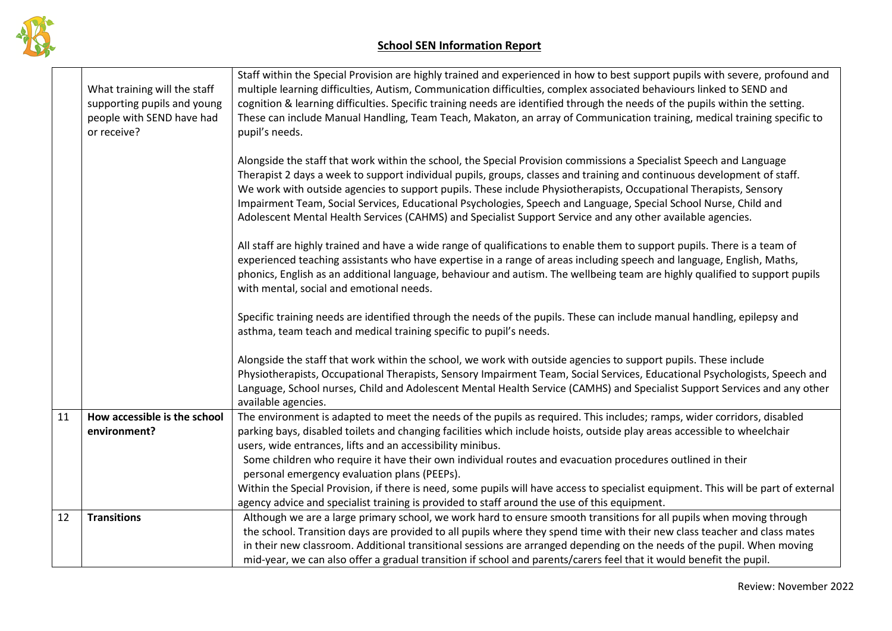

|    | What training will the staff<br>supporting pupils and young<br>people with SEND have had<br>or receive? | Staff within the Special Provision are highly trained and experienced in how to best support pupils with severe, profound and<br>multiple learning difficulties, Autism, Communication difficulties, complex associated behaviours linked to SEND and<br>cognition & learning difficulties. Specific training needs are identified through the needs of the pupils within the setting.<br>These can include Manual Handling, Team Teach, Makaton, an array of Communication training, medical training specific to<br>pupil's needs.                                                                  |
|----|---------------------------------------------------------------------------------------------------------|-------------------------------------------------------------------------------------------------------------------------------------------------------------------------------------------------------------------------------------------------------------------------------------------------------------------------------------------------------------------------------------------------------------------------------------------------------------------------------------------------------------------------------------------------------------------------------------------------------|
|    |                                                                                                         | Alongside the staff that work within the school, the Special Provision commissions a Specialist Speech and Language<br>Therapist 2 days a week to support individual pupils, groups, classes and training and continuous development of staff.<br>We work with outside agencies to support pupils. These include Physiotherapists, Occupational Therapists, Sensory<br>Impairment Team, Social Services, Educational Psychologies, Speech and Language, Special School Nurse, Child and<br>Adolescent Mental Health Services (CAHMS) and Specialist Support Service and any other available agencies. |
|    |                                                                                                         | All staff are highly trained and have a wide range of qualifications to enable them to support pupils. There is a team of<br>experienced teaching assistants who have expertise in a range of areas including speech and language, English, Maths,<br>phonics, English as an additional language, behaviour and autism. The wellbeing team are highly qualified to support pupils<br>with mental, social and emotional needs.                                                                                                                                                                         |
|    |                                                                                                         | Specific training needs are identified through the needs of the pupils. These can include manual handling, epilepsy and<br>asthma, team teach and medical training specific to pupil's needs.                                                                                                                                                                                                                                                                                                                                                                                                         |
|    |                                                                                                         | Alongside the staff that work within the school, we work with outside agencies to support pupils. These include<br>Physiotherapists, Occupational Therapists, Sensory Impairment Team, Social Services, Educational Psychologists, Speech and<br>Language, School nurses, Child and Adolescent Mental Health Service (CAMHS) and Specialist Support Services and any other<br>available agencies.                                                                                                                                                                                                     |
| 11 | How accessible is the school                                                                            | The environment is adapted to meet the needs of the pupils as required. This includes; ramps, wider corridors, disabled                                                                                                                                                                                                                                                                                                                                                                                                                                                                               |
|    | environment?                                                                                            | parking bays, disabled toilets and changing facilities which include hoists, outside play areas accessible to wheelchair                                                                                                                                                                                                                                                                                                                                                                                                                                                                              |
|    |                                                                                                         | users, wide entrances, lifts and an accessibility minibus.                                                                                                                                                                                                                                                                                                                                                                                                                                                                                                                                            |
|    |                                                                                                         | Some children who require it have their own individual routes and evacuation procedures outlined in their                                                                                                                                                                                                                                                                                                                                                                                                                                                                                             |
|    |                                                                                                         | personal emergency evaluation plans (PEEPs).                                                                                                                                                                                                                                                                                                                                                                                                                                                                                                                                                          |
|    |                                                                                                         | Within the Special Provision, if there is need, some pupils will have access to specialist equipment. This will be part of external                                                                                                                                                                                                                                                                                                                                                                                                                                                                   |
|    |                                                                                                         | agency advice and specialist training is provided to staff around the use of this equipment.                                                                                                                                                                                                                                                                                                                                                                                                                                                                                                          |
| 12 | <b>Transitions</b>                                                                                      | Although we are a large primary school, we work hard to ensure smooth transitions for all pupils when moving through                                                                                                                                                                                                                                                                                                                                                                                                                                                                                  |
|    |                                                                                                         | the school. Transition days are provided to all pupils where they spend time with their new class teacher and class mates                                                                                                                                                                                                                                                                                                                                                                                                                                                                             |
|    |                                                                                                         | in their new classroom. Additional transitional sessions are arranged depending on the needs of the pupil. When moving                                                                                                                                                                                                                                                                                                                                                                                                                                                                                |
|    |                                                                                                         | mid-year, we can also offer a gradual transition if school and parents/carers feel that it would benefit the pupil.                                                                                                                                                                                                                                                                                                                                                                                                                                                                                   |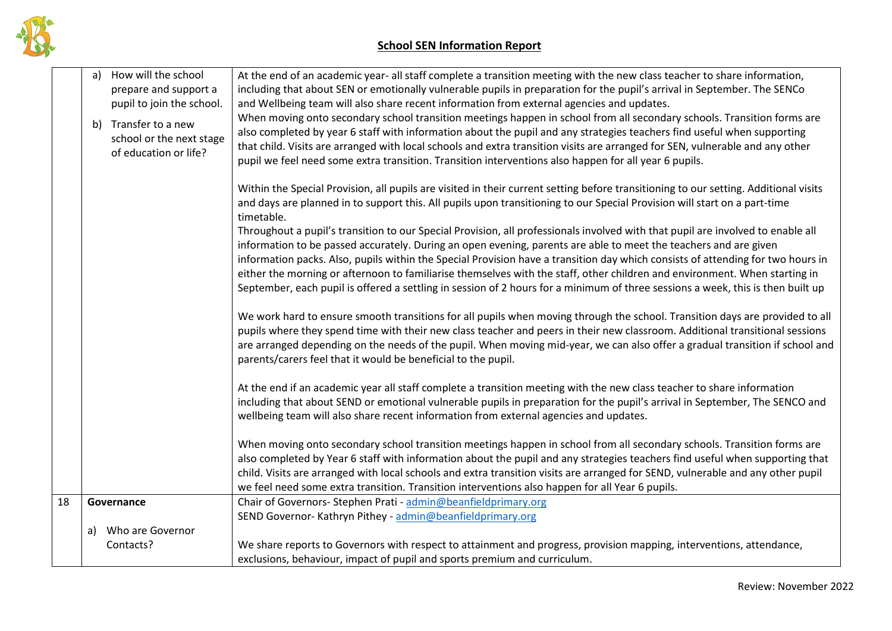

|    | How will the school<br>a)<br>prepare and support a<br>pupil to join the school.<br>b) Transfer to a new<br>school or the next stage<br>of education or life? | At the end of an academic year- all staff complete a transition meeting with the new class teacher to share information,<br>including that about SEN or emotionally vulnerable pupils in preparation for the pupil's arrival in September. The SENCo<br>and Wellbeing team will also share recent information from external agencies and updates.<br>When moving onto secondary school transition meetings happen in school from all secondary schools. Transition forms are<br>also completed by year 6 staff with information about the pupil and any strategies teachers find useful when supporting<br>that child. Visits are arranged with local schools and extra transition visits are arranged for SEN, vulnerable and any other<br>pupil we feel need some extra transition. Transition interventions also happen for all year 6 pupils.<br>Within the Special Provision, all pupils are visited in their current setting before transitioning to our setting. Additional visits<br>and days are planned in to support this. All pupils upon transitioning to our Special Provision will start on a part-time<br>timetable.<br>Throughout a pupil's transition to our Special Provision, all professionals involved with that pupil are involved to enable all<br>information to be passed accurately. During an open evening, parents are able to meet the teachers and are given<br>information packs. Also, pupils within the Special Provision have a transition day which consists of attending for two hours in<br>either the morning or afternoon to familiarise themselves with the staff, other children and environment. When starting in<br>September, each pupil is offered a settling in session of 2 hours for a minimum of three sessions a week, this is then built up<br>We work hard to ensure smooth transitions for all pupils when moving through the school. Transition days are provided to all<br>pupils where they spend time with their new class teacher and peers in their new classroom. Additional transitional sessions<br>are arranged depending on the needs of the pupil. When moving mid-year, we can also offer a gradual transition if school and<br>parents/carers feel that it would be beneficial to the pupil.<br>At the end if an academic year all staff complete a transition meeting with the new class teacher to share information<br>including that about SEND or emotional vulnerable pupils in preparation for the pupil's arrival in September, The SENCO and<br>wellbeing team will also share recent information from external agencies and updates.<br>When moving onto secondary school transition meetings happen in school from all secondary schools. Transition forms are<br>also completed by Year 6 staff with information about the pupil and any strategies teachers find useful when supporting that<br>child. Visits are arranged with local schools and extra transition visits are arranged for SEND, vulnerable and any other pupil<br>we feel need some extra transition. Transition interventions also happen for all Year 6 pupils. |
|----|--------------------------------------------------------------------------------------------------------------------------------------------------------------|---------------------------------------------------------------------------------------------------------------------------------------------------------------------------------------------------------------------------------------------------------------------------------------------------------------------------------------------------------------------------------------------------------------------------------------------------------------------------------------------------------------------------------------------------------------------------------------------------------------------------------------------------------------------------------------------------------------------------------------------------------------------------------------------------------------------------------------------------------------------------------------------------------------------------------------------------------------------------------------------------------------------------------------------------------------------------------------------------------------------------------------------------------------------------------------------------------------------------------------------------------------------------------------------------------------------------------------------------------------------------------------------------------------------------------------------------------------------------------------------------------------------------------------------------------------------------------------------------------------------------------------------------------------------------------------------------------------------------------------------------------------------------------------------------------------------------------------------------------------------------------------------------------------------------------------------------------------------------------------------------------------------------------------------------------------------------------------------------------------------------------------------------------------------------------------------------------------------------------------------------------------------------------------------------------------------------------------------------------------------------------------------------------------------------------------------------------------------------------------------------------------------------------------------------------------------------------------------------------------------------------------------------------------------------------------------------------------------------------------------------------------------------------------------------------------------------------------------------------------------------------------------------------------------------------------------------------------------------------------------------------------------------------------------------------------------------------------------------------------------|
| 18 | Governance                                                                                                                                                   | Chair of Governors- Stephen Prati - admin@beanfieldprimary.org                                                                                                                                                                                                                                                                                                                                                                                                                                                                                                                                                                                                                                                                                                                                                                                                                                                                                                                                                                                                                                                                                                                                                                                                                                                                                                                                                                                                                                                                                                                                                                                                                                                                                                                                                                                                                                                                                                                                                                                                                                                                                                                                                                                                                                                                                                                                                                                                                                                                                                                                                                                                                                                                                                                                                                                                                                                                                                                                                                                                                                                      |
|    |                                                                                                                                                              | SEND Governor-Kathryn Pithey - admin@beanfieldprimary.org                                                                                                                                                                                                                                                                                                                                                                                                                                                                                                                                                                                                                                                                                                                                                                                                                                                                                                                                                                                                                                                                                                                                                                                                                                                                                                                                                                                                                                                                                                                                                                                                                                                                                                                                                                                                                                                                                                                                                                                                                                                                                                                                                                                                                                                                                                                                                                                                                                                                                                                                                                                                                                                                                                                                                                                                                                                                                                                                                                                                                                                           |
|    | Who are Governor<br>a)                                                                                                                                       |                                                                                                                                                                                                                                                                                                                                                                                                                                                                                                                                                                                                                                                                                                                                                                                                                                                                                                                                                                                                                                                                                                                                                                                                                                                                                                                                                                                                                                                                                                                                                                                                                                                                                                                                                                                                                                                                                                                                                                                                                                                                                                                                                                                                                                                                                                                                                                                                                                                                                                                                                                                                                                                                                                                                                                                                                                                                                                                                                                                                                                                                                                                     |
|    | Contacts?                                                                                                                                                    | We share reports to Governors with respect to attainment and progress, provision mapping, interventions, attendance,                                                                                                                                                                                                                                                                                                                                                                                                                                                                                                                                                                                                                                                                                                                                                                                                                                                                                                                                                                                                                                                                                                                                                                                                                                                                                                                                                                                                                                                                                                                                                                                                                                                                                                                                                                                                                                                                                                                                                                                                                                                                                                                                                                                                                                                                                                                                                                                                                                                                                                                                                                                                                                                                                                                                                                                                                                                                                                                                                                                                |
|    |                                                                                                                                                              | exclusions, behaviour, impact of pupil and sports premium and curriculum.                                                                                                                                                                                                                                                                                                                                                                                                                                                                                                                                                                                                                                                                                                                                                                                                                                                                                                                                                                                                                                                                                                                                                                                                                                                                                                                                                                                                                                                                                                                                                                                                                                                                                                                                                                                                                                                                                                                                                                                                                                                                                                                                                                                                                                                                                                                                                                                                                                                                                                                                                                                                                                                                                                                                                                                                                                                                                                                                                                                                                                           |